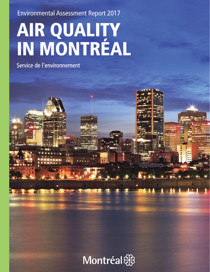Environmental Assessment Report 2017

# AIR QUALITY IN MONTRÉAL

Service de l'environnement

Montréal&

**BY STAR 18**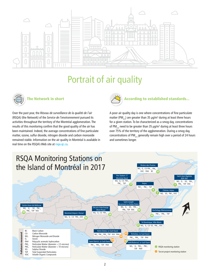

# Portrait of air quality



### The Network in short

Over the past year, the Réseau de surveillance de la qualité de l'air (RSQA) (the Network) of the Service de l'environnement pursued its activities throughout the territory of the Montréal agglomeration. The results of this monitoring confirm that the good quality of the air has been maintained. Indeed, the average concentrations of fine particulate matter, ozone, sulfur dioxide, nitrogen dioxide and carbon monoxide remained stable. Information on the air quality in Montréal is available in real time on the RSQA's Web site at rsqa.qc.ca.



A poor air quality day is one where concentrations of fine particulate matter (PM $_{\rm 2.5}$ ) are greater than 35  $\mu$ g/m $^{\rm 3}$  during at least three hours for a given station. To be characterized as a smog day, concentrations of PM $_{2.5}$  need to be greater than 35  $\mu$ g/m $^3$  during at least three hours over 75% of the territory of the agglomeration. During a smog day, concentrations of PM<sub>2.5</sub> generally remain high over a period of 24 hours and sometimes longer.

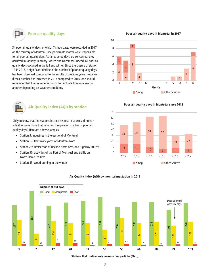

### Poor air quality days

34 poor air quality days, of which 7 smog days, were recorded in 2017 on the territory of Montréal. Fine particulate matter were responsible for all poor air quality days. As far as smog days are concerned, they occurred in January, February, March and December. Indeed, all poor air quality days occurred in the fall and winter. Since the closure of station 13 in 2016, a significant decline in the number of poor air quality days has been observed compared to the results of previous years. However, if their number has increased in 2017 compared to 2016, one should remember that their number is bound to fluctuate from one year to another depending on weather conditions.



### Air Quality Index (AQI) by station

Did you know that the stations located nearest to sources of human activities were those that recorded the greatest number of poor air quality days? Here are a few examples:

- Station 3: industries in the east end of Montréal
- Station 17: fleet work yards of Montréal-Nord
- Station 28: intersection of Décarie North Blvd. and Highway 40 East
- Station 50: activities of the Port of Montréal and traffic on Notre-Dame Est Blvd.
- Station 55: wood burning in the winter

Month <sup>1</sup> J FMAM J J A S OND  $\Omega$ **Smog Communist Communist Communist Communist Communist Communist Communist Communist Communist Communist Communist Communist Communist Communist Communist Communist Communist Communist Communist Communist Communist Commun**  







Air Quality Index (AQI) by monitoring station in 2017

Stations that continuously measure fine particles (PM $_{25}$ )

### Poor air quality days in Montréal in 2017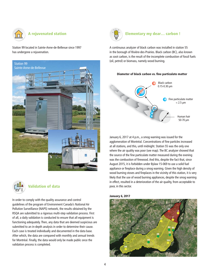

Station 99 located in Sainte-Anne-de-Bellevue since 1997 has undergone a rejuvenation.





### Validation of data

In order to comply with the quality assurance and control guidelines of the program of Environment Canada's National Air Pollution Surveillance (NAPS) network, the results obtained by the RSQA are submitted to a rigorous multi-step validation process. First of all, a daily validation is conducted to ensure that all equipment is functioning adequately. Then, any data that are deemed suspicious are submitted to an in-depth analysis in order to determine their cause. Each case is treated individually and documented in the data base. After which, the data are compared with monthly and annual trends for Montréal. Finally, the data would only be made public once the validation process is completed.



A continuous analyzer of black carbon was installed in station 55 in the borough of Rivière-des-Prairies. Black carbon (BC), also known as soot carbon, is the result of the incomplete combustion of fossil fuels (oil, petrol) or biomass, namely wood burning.

Diameter of black carbon vs. fine particulate matter



January 6, 2017 at 4 p.m., a smog warning was issued for the agglomeration of Montréal. Concentrations of fine particles increased at all stations, and this, until midnight. Station 55 was the only one where the air quality was poor (see map). The BC analyzer showed that the source of the fine particulate matter measured during the evening was the combustion of firewood. And this, despite the fact that, since August 2015, it is forbidden under Bylaw 15-069 to use a solid fuel appliance or fireplace during a smog warning. Given the high density of wood burning stoves and fireplaces in the vicinity of this station, it is very likely that the use of wood burning appliances, despite the smog warning in effect, resulted in a deterioration of the air quality, from acceptable to poor, in this sector.





4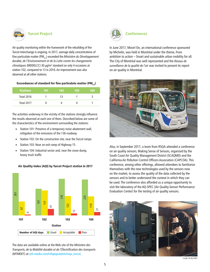

Air quality monitoring within the framework of the rebuilding of the Turcot Interchange is ongoing. In 2017, average daily concentrations of fine particulate matter (PM<sub>25</sub>) exceeded the *Ministère du Développement* durable, de l'Environnement et de la Lutte contre les changements climatiques (MDDELCC) 30 μg/m<sup>3</sup> standard on only 4 occasions at station 102, compared to 13 in 2016. An improvement was also observed at all other stations.

### Exceedances of standard for fine particulate matter (PM<sub>25</sub>)

| <b>Stations</b>   | 401Z | 102. | 103 | 104 |
|-------------------|------|------|-----|-----|
| <b>Total 2016</b> |      |      |     |     |
| <b>Total 2017</b> |      |      |     |     |

The activities underway in the vicinity of the stations strongly influence the results observed at each one of them. Described below are some of the characteristics of the environment surrounding the stations:

- Station 101: Presence of a temporary noise abatement wall, mitigation of the emissions of the 136 roadway
- Station 102: On the construction site, near the Turcot ramps
- Station 103: Near an exit ramp of Highway 15
- Station 104: Industrial sector and, near the snow dump, heavy truck traffic



Air Quality Index (AQI) by Turcot Project station in 2017

The data are available online at the Web site of the Ministère des Transports, de la Mobilité durable et de l'Électrification des transports (MTMDET) at seti-media.com/infopopulation/rsqa\_turcot.



In June 2017, Movin'On, an international conference sponsored by Michelin, was held in Montréal under the theme, From ambition to action – Smart and sustainable urban mobility for all. The City of Montréal was well represented and the Réseau de surveillance de la qualité de l'air was invited to present its report on air quality in Montréal.



Also, in September 2017, a team from RSQA attended a conference on air quality sensors, Making Sense of Sensors, organized by the South Coast Air Quality Management District (SCAQMD) and the California Air Pollution Control Officers Association (CAPCOA). This conference, among other offerings, allowed attendees to familiarize themselves with the new technologies used by the sensors now on the market, to assess the quality of the data collected by the sensors and to better understand the context in which they can be used. The conference also afforded us a unique opportunity to visit the laboratory of the AQ-SPEC (Air Quality-Sensor Performance Evaluation Center) for the testing of air quality sensors.



Credit: © AQ-SPEC